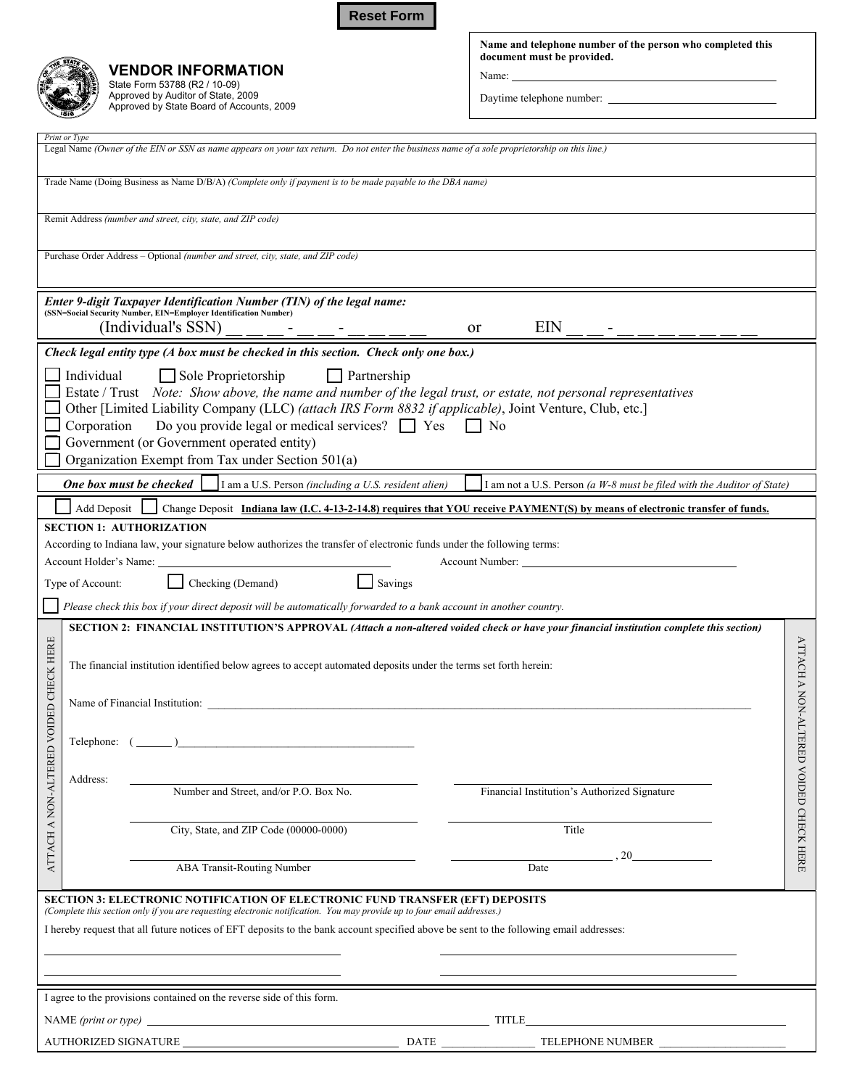**Reset Form**



**VENDOR INFORMATION**  State Form 53788 (R2 / 10-09) Approved by Auditor of State, 2009 Approved by State Board of Accounts, 2009 **Name and telephone number of the person who completed this document must be provided.** 

Name:

Daytime telephone number:

| Print or Type                                                                                                                                                                                                                                                                                                                                                                                                                                                                        |                           |
|--------------------------------------------------------------------------------------------------------------------------------------------------------------------------------------------------------------------------------------------------------------------------------------------------------------------------------------------------------------------------------------------------------------------------------------------------------------------------------------|---------------------------|
| Legal Name (Owner of the EIN or SSN as name appears on your tax return. Do not enter the business name of a sole proprietorship on this line.)                                                                                                                                                                                                                                                                                                                                       |                           |
| Trade Name (Doing Business as Name D/B/A) (Complete only if payment is to be made payable to the DBA name)                                                                                                                                                                                                                                                                                                                                                                           |                           |
| Remit Address (number and street, city, state, and ZIP code)                                                                                                                                                                                                                                                                                                                                                                                                                         |                           |
| Purchase Order Address - Optional (number and street, city, state, and ZIP code)                                                                                                                                                                                                                                                                                                                                                                                                     |                           |
| Enter 9-digit Taxpayer Identification Number (TIN) of the legal name:<br>(SSN=Social Security Number, EIN=Employer Identification Number)<br>(Individual's SSN)<br>EIN<br><sub>or</sub>                                                                                                                                                                                                                                                                                              |                           |
| Check legal entity type (A box must be checked in this section. Check only one box.)                                                                                                                                                                                                                                                                                                                                                                                                 |                           |
| Individual<br>$\Box$ Sole Proprietorship<br>$\Box$ Partnership<br>Estate / Trust Note: Show above, the name and number of the legal trust, or estate, not personal representatives<br>Other [Limited Liability Company (LLC) (attach IRS Form 8832 if applicable), Joint Venture, Club, etc.]<br>Do you provide legal or medical services? $\Box$ Yes<br>Corporation<br>$\Box$ No<br>Government (or Government operated entity)<br>Organization Exempt from Tax under Section 501(a) |                           |
| One box must be checked<br>I am a U.S. Person (including a U.S. resident alien)<br>I am not a U.S. Person (a $W$ -8 must be filed with the Auditor of State)                                                                                                                                                                                                                                                                                                                         |                           |
| Change Deposit Indiana law (I.C. 4-13-2-14.8) requires that YOU receive PAYMENT(S) by means of electronic transfer of funds.<br>Add Deposit                                                                                                                                                                                                                                                                                                                                          |                           |
| According to Indiana law, your signature below authorizes the transfer of electronic funds under the following terms:<br>Checking (Demand)<br>Savings<br>Type of Account:<br>Please check this box if your direct deposit will be automatically forwarded to a bank account in another country.<br>SECTION 2: FINANCIAL INSTITUTION'S APPROVAL (Attach a non-altered voided check or have your financial institution complete this section)                                          |                           |
| D VOIDED CHECK HERE<br>The financial institution identified below agrees to accept automated deposits under the terms set forth herein:                                                                                                                                                                                                                                                                                                                                              | <b>ATTACH A NON-ALTER</b> |
| Name of Financial Institution: Cambridge Contract Contract Contract Contract Contract Contract Contract Contract Contract Contract Contract Contract Contract Contract Contract Contract Contract Contract Contract Contract C                                                                                                                                                                                                                                                       |                           |
| Telephone: (                                                                                                                                                                                                                                                                                                                                                                                                                                                                         |                           |
| ATTACH A NON-ALTERE<br>Address:<br>Number and Street, and/or P.O. Box No.<br>Financial Institution's Authorized Signature                                                                                                                                                                                                                                                                                                                                                            | ED VOIDED CHECK HERE      |
| City, State, and ZIP Code (00000-0000)<br>Title                                                                                                                                                                                                                                                                                                                                                                                                                                      |                           |
| 20<br>ABA Transit-Routing Number<br>Date                                                                                                                                                                                                                                                                                                                                                                                                                                             |                           |
| SECTION 3: ELECTRONIC NOTIFICATION OF ELECTRONIC FUND TRANSFER (EFT) DEPOSITS<br>(Complete this section only if you are requesting electronic notification. You may provide up to four email addresses.)<br>I hereby request that all future notices of EFT deposits to the bank account specified above be sent to the following email addresses:                                                                                                                                   |                           |
| I agree to the provisions contained on the reverse side of this form.                                                                                                                                                                                                                                                                                                                                                                                                                |                           |
| <u> 1989 - Johann Barbara, martin amerikan basar dan basa dan basa dan basa dalam basa dalam basa dalam basa dala</u>                                                                                                                                                                                                                                                                                                                                                                |                           |
| TELEPHONE NUMBER                                                                                                                                                                                                                                                                                                                                                                                                                                                                     |                           |